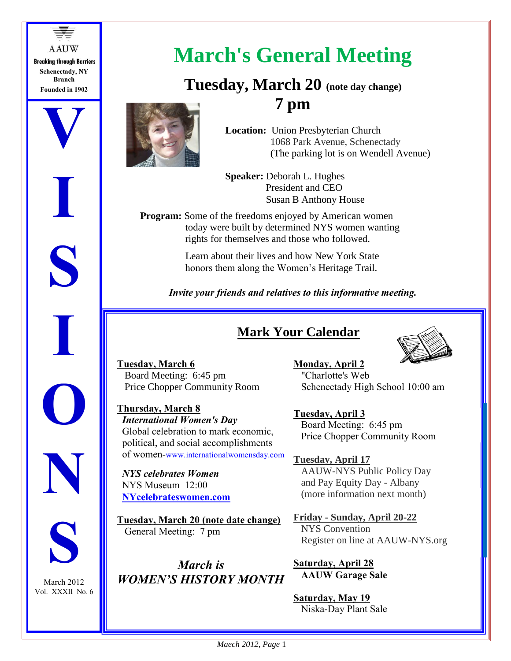

**I**

**S**

**I**

**O**

**N**

**S**

March 2012 Vol. XXXII No. 6



# **March's General Meeting**

# **Tuesday, March 20 (note day change) 7 pm**

 **Location:** Union Presbyterian Church 1068 Park Avenue, Schenectady (The parking lot is on Wendell Avenue)

 **Speaker:** Deborah L. Hughes President and CEO Susan B Anthony House

**Program:** Some of the freedoms enjoyed by American women today were built by determined NYS women wanting rights for themselves and those who followed.

> Learn about their lives and how New York State honors them along the Women's Heritage Trail.

*Invite your friends and relatives to this informative meeting.*

## **Mark Your Calendar**



**Tuesday, March 6** Board Meeting: 6:45 pm Price Chopper Community Room

**Thursday, March 8** *International Women's Day* Global celebration to mark economic, political, and social accomplishments of women-www.internationalwomensday.com

 *NYS celebrates Women* NYS Museum 12:00 **NYcelebrateswomen.com**

**Tuesday, March 20 (note date change)** General Meeting: 7 pm

*March is WOMEN'S HISTORY MONTH* **Monday, April 2** "Charlotte's Web Schenectady High School 10:00 am

**Tuesday, April 3** Board Meeting: 6:45 pm Price Chopper Community Room

**Tuesday, April 17** AAUW-NYS Public Policy Day and Pay Equity Day - Albany (more information next month)

**Friday - Sunday, April 20-22** NYS Convention Register on line at AAUW-NYS.org

**Saturday, April 28 AAUW Garage Sale**

### **Saturday, May 19**

Niska-Day Plant Sale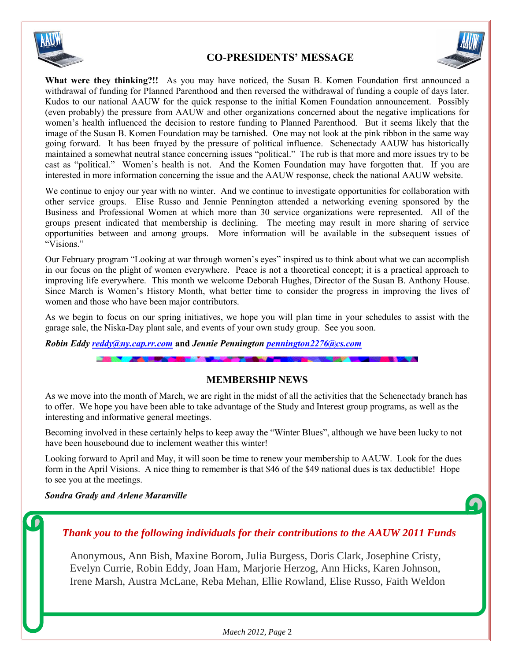

### **CO-PRESIDENTS' MESSAGE**



**What were they thinking?!!** As you may have noticed, the Susan B. Komen Foundation first announced a withdrawal of funding for Planned Parenthood and then reversed the withdrawal of funding a couple of days later. Kudos to our national AAUW for the quick response to the initial Komen Foundation announcement. Possibly (even probably) the pressure from AAUW and other organizations concerned about the negative implications for women's health influenced the decision to restore funding to Planned Parenthood. But it seems likely that the image of the Susan B. Komen Foundation may be tarnished. One may not look at the pink ribbon in the same way going forward. It has been frayed by the pressure of political influence. Schenectady AAUW has historically maintained a somewhat neutral stance concerning issues "political." The rub is that more and more issues try to be cast as "political." Women's health is not. And the Komen Foundation may have forgotten that. If you are interested in more information concerning the issue and the AAUW response, check the national AAUW website.

We continue to enjoy our year with no winter. And we continue to investigate opportunities for collaboration with other service groups. Elise Russo and Jennie Pennington attended a networking evening sponsored by the Business and Professional Women at which more than 30 service organizations were represented. All of the groups present indicated that membership is declining. The meeting may result in more sharing of service opportunities between and among groups. More information will be available in the subsequent issues of "Visions."

Our February program "Looking at war through women's eyes" inspired us to think about what we can accomplish in our focus on the plight of women everywhere. Peace is not a theoretical concept; it is a practical approach to improving life everywhere. This month we welcome Deborah Hughes, Director of the Susan B. Anthony House. Since March is Women's History Month, what better time to consider the progress in improving the lives of women and those who have been major contributors.

As we begin to focus on our spring initiatives, we hope you will plan time in your schedules to assist with the garage sale, the Niska-Day plant sale, and events of your own study group. See you soon.

*Robin Eddy [reddy@ny.cap.rr.com](mailto:reddy@ny.cap.rr.com)* and *Jennie Pennington [pennington2276@cs.com](mailto:pennington2276@cs.com)* 

#### **MEMBERSHIP NEWS**

As we move into the month of March, we are right in the midst of all the activities that the Schenectady branch has to offer. We hope you have been able to take advantage of the Study and Interest group programs, as well as the interesting and informative general meetings.

Becoming involved in these certainly helps to keep away the "Winter Blues", although we have been lucky to not have been housebound due to inclement weather this winter!

Looking forward to April and May, it will soon be time to renew your membership to AAUW. Look for the dues form in the April Visions. A nice thing to remember is that \$46 of the \$49 national dues is tax deductible! Hope to see you at the meetings.

*Sondra Grady and Arlene Maranville*

### *Thank you to the following individuals for their contributions to the AAUW 2011 Funds*

 Anonymous, Ann Bish, Maxine Borom, Julia Burgess, Doris Clark, Josephine Cristy, Evelyn Currie, Robin Eddy, Joan Ham, Marjorie Herzog, Ann Hicks, Karen Johnson, Irene Marsh, Austra McLane, Reba Mehan, Ellie Rowland, Elise Russo, Faith Weldon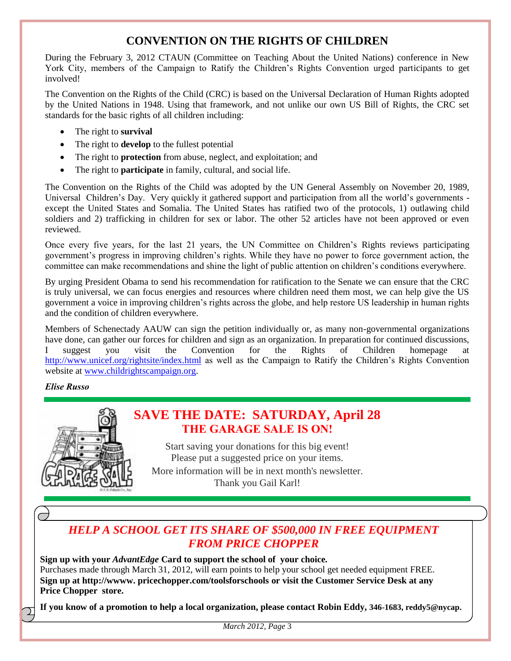### **CONVENTION ON THE RIGHTS OF CHILDREN**

During the February 3, 2012 CTAUN (Committee on Teaching About the United Nations) conference in New York City, members of the Campaign to Ratify the Children's Rights Convention urged participants to get involved!

The Convention on the Rights of the Child (CRC) is based on the Universal Declaration of Human Rights adopted by the United Nations in 1948. Using that framework, and not unlike our own US Bill of Rights, the CRC set standards for the basic rights of all children including:

- The right to **survival**
- The right to **develop** to the fullest potential
- The right to **protection** from abuse, neglect, and exploitation; and
- The right to **participate** in family, cultural, and social life.

The Convention on the Rights of the Child was adopted by the UN General Assembly on November 20, 1989, Universal Children's Day. Very quickly it gathered support and participation from all the world's governments except the United States and Somalia. The United States has ratified two of the protocols, 1) outlawing child soldiers and 2) trafficking in children for sex or labor. The other 52 articles have not been approved or even reviewed.

Once every five years, for the last 21 years, the UN Committee on Children's Rights reviews participating government's progress in improving children's rights. While they have no power to force government action, the committee can make recommendations and shine the light of public attention on children's conditions everywhere.

By urging President Obama to send his recommendation for ratification to the Senate we can ensure that the CRC is truly universal, we can focus energies and resources where children need them most, we can help give the US government a voice in improving children's rights across the globe, and help restore US leadership in human rights and the condition of children everywhere.

Members of Schenectady AAUW can sign the petition individually or, as many non-governmental organizations have done, can gather our forces for children and sign as an organization. In preparation for continued discussions, I suggest you visit the Convention for the Rights of Children homepage at <http://www.unicef.org/rightsite/index.html> as well as the Campaign to Ratify the Children's Rights Convention website at [www.childrightscampaign.org.](http://www.childrightscampaign.org/)

### *Elise Russo*



### **SAVE THE DATE: SATURDAY, April 28 THE GARAGE SALE IS ON!**

Start saving your donations for this big event! Please put a suggested price on your items. More information will be in next month's newsletter. Thank you Gail Karl!

### *HELP A SCHOOL GET ITS SHARE OF \$500,000 IN FREE EQUIPMENT FROM PRICE CHOPPER*

**Sign up with your** *AdvantEdge* **Card to support the school of your choice***.* Purchases made through March 31, 2012, will earn points to help your school get needed equipment FREE. **Sign up at http://wwww. pricechopper.com/toolsforschools or visit the Customer Service Desk at any Price Chopper store.**

**If you know of a promotion to help a local organization, please contact Robin Eddy, 346-1683, reddy5@nycap.**

*March 2012, Page* 3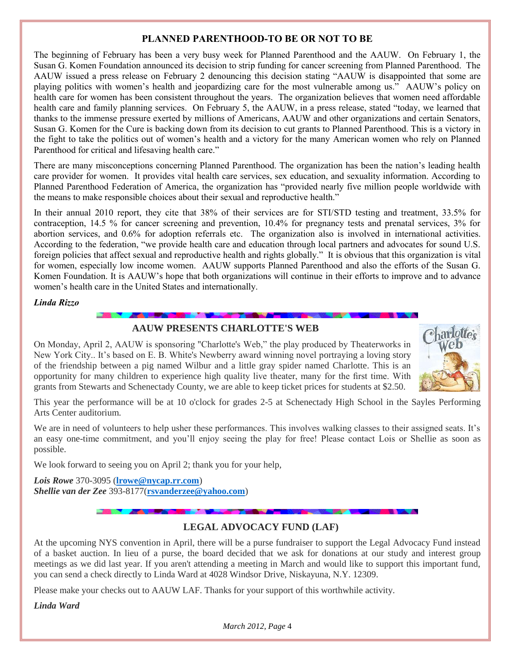### **PLANNED PARENTHOOD-TO BE OR NOT TO BE**

The beginning of February has been a very busy week for Planned Parenthood and the AAUW. On February 1, the Susan G. Komen Foundation announced its decision to strip funding for cancer screening from Planned Parenthood. The AAUW issued a press release on February 2 denouncing this decision stating "AAUW is disappointed that some are playing politics with women's health and jeopardizing care for the most vulnerable among us." AAUW's policy on health care for women has been consistent throughout the years. The organization believes that women need affordable health care and family planning services. On February 5, the AAUW, in a press release, stated "today, we learned that thanks to the immense pressure exerted by millions of Americans, AAUW and other organizations and certain Senators, Susan G. Komen for the Cure is backing down from its decision to cut grants to Planned Parenthood. This is a victory in the fight to take the politics out of women's health and a victory for the many American women who rely on Planned Parenthood for critical and lifesaving health care."

There are many misconceptions concerning Planned Parenthood. The organization has been the nation's leading health care provider for women. It provides vital health care services, sex education, and sexuality information. According to Planned Parenthood Federation of America, the organization has "provided nearly five million people worldwide with the means to make responsible choices about their sexual and reproductive health."

In their annual 2010 report, they cite that 38% of their services are for STI/STD testing and treatment, 33.5% for contraception, 14.5 % for cancer screening and prevention, 10.4% for pregnancy tests and prenatal services, 3% for abortion services, and 0.6% for adoption referrals etc. The organization also is involved in international activities. According to the federation, "we provide health care and education through local partners and advocates for sound U.S. foreign policies that affect sexual and reproductive health and rights globally." It is obvious that this organization is vital for women, especially low income women. AAUW supports Planned Parenthood and also the efforts of the Susan G. Komen Foundation. It is AAUW's hope that both organizations will continue in their efforts to improve and to advance women's health care in the United States and internationally.

#### *Linda Rizzo*

### **The Contract of Second Contract of the Contract of Second Contract of Second Contract of Second Contract of Second AAUW PRESENTS CHARLOTTE'S WEB**

On Monday, April 2, AAUW is sponsoring "Charlotte's Web," the play produced by Theaterworks in New York City.. It's based on E. B. White's Newberry award winning novel portraying a loving story of the friendship between a pig named Wilbur and a little gray spider named Charlotte. This is an opportunity for many children to experience high quality live theater, many for the first time. With grants from Stewarts and Schenectady County, we are able to keep ticket prices for students at \$2.50.



This year the performance will be at 10 o'clock for grades 2-5 at Schenectady High School in the Sayles Performing Arts Center auditorium.

We are in need of volunteers to help usher these performances. This involves walking classes to their assigned seats. It's an easy one-time commitment, and you'll enjoy seeing the play for free! Please contact Lois or Shellie as soon as possible.

We look forward to seeing you on April 2; thank you for your help,

*Lois Rowe* 370-3095 (**[lrowe@nycap.rr.com](mailto:lrowe@nycap.rr.com)**) *Shellie van der Zee* 393-8177(**[rsvanderzee@yahoo.com](mailto:rsvanderzee@yahoo.com)**)

### **LEGAL ADVOCACY FUND (LAF)**

At the upcoming NYS convention in April, there will be a purse fundraiser to support the Legal Advocacy Fund instead of a basket auction. In lieu of a purse, the board decided that we ask for donations at our study and interest group meetings as we did last year. If you aren't attending a meeting in March and would like to support this important fund, you can send a check directly to Linda Ward at 4028 Windsor Drive, Niskayuna, N.Y. 12309.

Please make your checks out to AAUW LAF. Thanks for your support of this worthwhile activity.

*Linda Ward*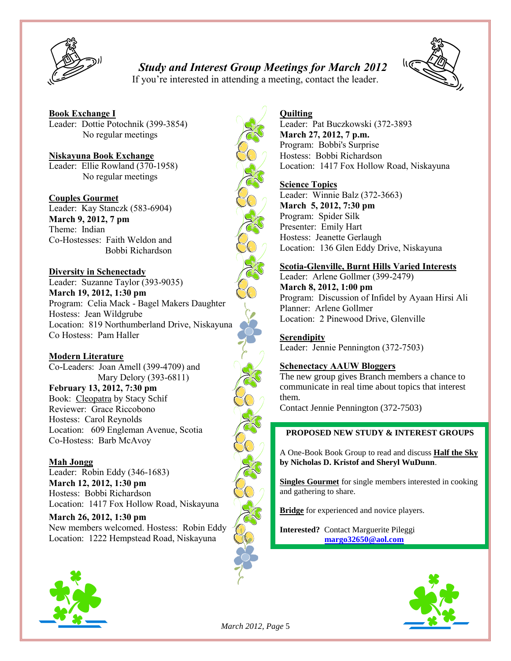

### *Study and Interest Group Meetings for March 2012*



If you're interested in attending a meeting, contact the leader.

**Book Exchange I** Leader: Dottie Potochnik (399-3854) No regular meetings

**Niskayuna Book Exchange** Leader: Ellie Rowland (370-1958) No regular meetings

**Couples Gourmet** Leader: Kay Stanczk (583-6904) **March 9, 2012, 7 pm** Theme: Indian Co-Hostesses: Faith Weldon and Bobbi Richardson

**Diversity in Schenectady** Leader: Suzanne Taylor (393-9035) **March 19, 2012, 1:30 pm** Program: Celia Mack - Bagel Makers Daughter Hostess: Jean Wildgrube

Location: 819 Northumberland Drive, Niskayuna Co Hostess: Pam Haller

**Modern Literature**

Co-Leaders: Joan Amell (399-4709) and Mary Delory (393-6811) **February 13, 2012, 7:30 pm** Book: Cleopatra by Stacy Schif Reviewer: Grace Riccobono Hostess: Carol Reynolds Location: 609 Engleman Avenue, Scotia Co-Hostess: Barb McAvoy

**Mah Jongg**

Leader: Robin Eddy (346-1683) **March 12, 2012, 1:30 pm** Hostess: Bobbi Richardson Location: 1417 Fox Hollow Road, Niskayuna

**March 26, 2012, 1:30 pm** New members welcomed. Hostess: Robin Eddy Location: 1222 Hempstead Road, Niskayuna





### **Quilting**

Leader: Pat Buczkowski (372-3893 **March 27, 2012, 7 p.m.** Program: Bobbi's Surprise Hostess: Bobbi Richardson Location: 1417 Fox Hollow Road, Niskayuna

### **Science Topics**

Leader: Winnie Balz (372-3663) **March 5, 2012, 7:30 pm** Program: Spider Silk Presenter: Emily Hart Hostess: Jeanette Gerlaugh Location: 136 Glen Eddy Drive, Niskayuna

### **Scotia-Glenville, Burnt Hills Varied Interests**

Leader: Arlene Gollmer (399-2479) **March 8, 2012, 1:00 pm** Program: Discussion of Infidel by Ayaan Hirsi Ali Planner: Arlene Gollmer Location: 2 Pinewood Drive, Glenville

**Serendipity** Leader: Jennie Pennington (372-7503)

### **Schenectacy AAUW Bloggers**

The new group gives Branch members a chance to communicate in real time about topics that interest them.

Contact Jennie Pennington (372-7503)

### **PROPOSED NEW STUDY & INTEREST GROUPS**

A One-Book Book Group to read and discuss **Half the Sky by Nicholas D. Kristof and Sheryl WuDunn**.

**Singles Gourmet** for single members interested in cooking and gathering to share.

**Bridge** for experienced and novice players.

**Interested?** Contact Marguerite Pileggi **[margo32650@aol.com](mailto:margo32650@aol.com)** 



*March 2012, Page* 5